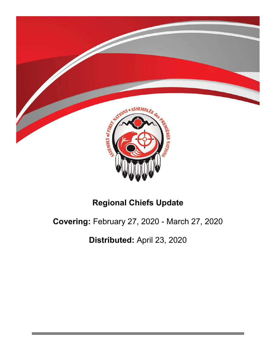

# **Regional Chiefs Update**

# **Covering:** February 27, 2020 - March 27, 2020

**Distributed:** April 23, 2020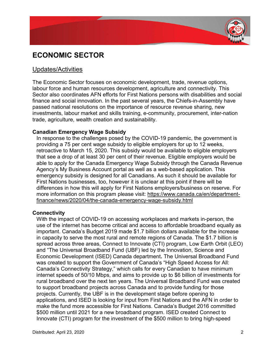

## Updates/Activities

The Economic Sector focuses on economic development, trade, revenue options, labour force and human resources development, agriculture and connectivity. This Sector also coordinates AFN efforts for First Nations persons with disabilities and social finance and social innovation. In the past several years, the Chiefs-in-Assembly have passed national resolutions on the importance of resource revenue sharing, new investments, labour market and skills training, e-community, procurement, inter-nation trade, agriculture, wealth creation and sustainability.

#### **Canadian Emergency Wage Subsidy**

In response to the challenges posed by the COVID-19 pandemic, the government is providing a 75 per cent wage subsidy to eligible employers for up to 12 weeks, retroactive to March 15, 2020. This subsidy would be available to eligible employers that see a drop of at least 30 per cent of their revenue. Eligible employers would be able to apply for the Canada Emergency Wage Subsidy through the Canada Revenue Agency's My Business Account portal as well as a web-based application. This emergency subsidy is designed for all Canadians. As such it should be available for First Nations businesses, too, however it is unclear at this point if there will be differences in how this will apply for First Nations employers/business on reserve. For more information on this program please visit: https://www.canada.ca/en/departmentfinance/news/2020/04/the-canada-emergency-wage-subsidy.html

#### **Connectivity**

With the impact of COVID-19 on accessing workplaces and markets in-person, the use of the internet has become critical and access to affordable broadband equally as important. Canada's Budget 2019 made \$1.7 billion dollars available for the increase in capacity to serve the most rural and remote regions of Canada. The \$1.7 billion is spread across three areas, Connect to Innovate (CTI) program, Low Earth Orbit (LEO) and "The Universal Broadband Fund (UBF) led by the Innovation, Science and Economic Development (ISED) Canada department**.** The Universal Broadband Fund was created to support the Government of Canada's "High Speed Access for All: Canada's Connectivity Strategy," which calls for every Canadian to have minimum internet speeds of 50/10 Mbps, and aims to provide up to \$6 billion of investments for rural broadband over the next ten years. The Universal Broadband Fund was created to support broadband projects across Canada and to provide funding for those projects. Currently, the UBF is in the development stage before opening to applications, and ISED is looking for input from First Nations and the AFN in order to make the fund more accessible for First Nations. Canada's Budget 2016 committed \$500 million until 2021 for a new broadband program. ISED created Connect to Innovate (CTI) program for the investment of the \$500 million to bring high-speed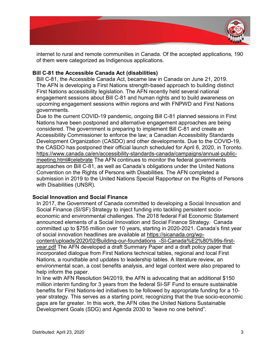

internet to rural and remote communities in Canada. Of the accepted applications, 190 of them were categorized as Indigenous applications.

## **Bill C-81 the Accessible Canada Act (disabilities)**

Bill C-81, the Accessible Canada Act, became law in Canada on June 21, 2019. The AFN is developing a First Nations strength-based approach to building distinct First Nations accessibility legislation. The AFN recently held several national engagement sessions about Bill C-81 and human rights and to build awareness on upcoming engagement sessions within regions and with FNPWD and First Nations governments.

Due to the current COVID-19 pandemic, ongoing Bill C-81 planned sessions in First Nations have been postponed and alternative engagement approaches are being considered. The government is preparing to implement Bill C-81 and create an Accessibility Commissioner to enforce the law; a Canadian Accessibility Standards Development Organization (CASDO) and other developments. Due to the COVID-19, the CASDO has postponed their official launch scheduled for April 6, 2020, in Toronto. https://www.canada.ca/en/accessibility-standards-canada/campaigns/annual-publicmeeting.html#celebrate The AFN continues to monitor the federal governments approaches on Bill C-81, as well as Canada's obligations under the United Nations Convention on the Rights of Persons with Disabilities. The AFN completed a submission in 2019 to the United Nations Special Rapporteur on the Rights of Persons with Disabilities (UNSR).

## **Social Innovation and Social Finance**

In 2017, the Government of Canada committed to developing a Social Innovation and Social Finance (SI/SF) Strategy to inject funding into tackling persistent socioeconomic and environmental challenges. The 2018 federal Fall Economic Statement announced elements of a Social Innovation and Social Finance Strategy. Canada committed up to \$755 million over 10 years, starting in 2020-2021. Canada's first year of social innovation headlines are available at https://sicanada.org/wp-

content/uploads/2020/02/Building-our-foundations\_-SI-Canada%E2%80%99s-firstyear.pdf The AFN developed a draft Summary Paper and a draft policy paper that incorporated dialogue from First Nations technical tables, regional and local First Nations, a roundtable and updates to leadership tables. A literature review, an environmental scan, a cost benefits analysis, and legal context were also prepared to help inform the paper.

In line with AFN Resolution 94/2019, the AFN is advocating that an additional \$150 million interim funding for 3 years from the federal SI-SF Fund to ensure sustainable benefits for First Nations-led initiatives to be followed by appropriate funding for a 10 year strategy. This serves as a starting point, recognizing that the true socio-economic gaps are far greater. In this work, the AFN cites the United Nations Sustainable Development Goals (SDG) and Agenda 2030 to "leave no one behind".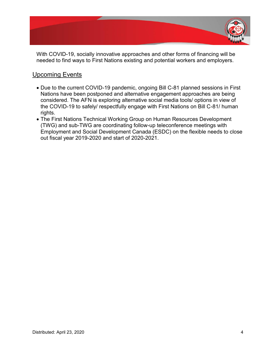

With COVID-19, socially innovative approaches and other forms of financing will be needed to find ways to First Nations existing and potential workers and employers.

## Upcoming Events

- Due to the current COVID-19 pandemic, ongoing Bill C-81 planned sessions in First Nations have been postponed and alternative engagement approaches are being considered. The AFN is exploring alternative social media tools/ options in view of the COVID-19 to safely/ respectfully engage with First Nations on Bill C-81/ human rights.
- The First Nations Technical Working Group on Human Resources Development (TWG) and sub-TWG are coordinating follow-up teleconference meetings with Employment and Social Development Canada (ESDC) on the flexible needs to close out fiscal year 2019-2020 and start of 2020-2021.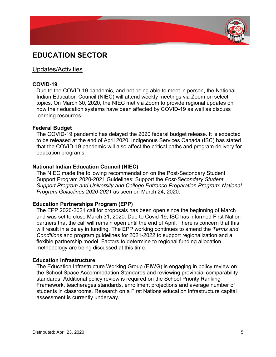

## **EDUCATION SECTOR**

## Updates/Activities

## **COVID-19**

Due to the COVID-19 pandemic, and not being able to meet in person, the National Indian Education Council (NIEC) will attend weekly meetings via Zoom on select topics. On March 30, 2020, the NIEC met via Zoom to provide regional updates on how their education systems have been affected by COVID-19 as well as discuss learning resources.

### **Federal Budget**

The COVID-19 pandemic has delayed the 2020 federal budget release. It is expected to be released at the end of April 2020. Indigenous Services Canada (ISC) has stated that the COVID-19 pandemic will also affect the critical paths and program delivery for education programs.

### **National Indian Education Council (NIEC)**

The NIEC made the following recommendation on the Post-Secondary Student Support Program 2020-2021 Guidelines: Support the *Post-Secondary Student Support Program and University and College Entrance Preparation Program: National Program Guidelines 2020-2021* as seen on March 24, 2020.

### **Education Partnerships Program (EPP)**

The EPP 2020-2021 call for proposals has been open since the beginning of March and was set to close March 31, 2020. Due to Covid-19, ISC has informed First Nation partners that the call will remain open until the end of April. There is concern that this will result in a delay in funding. The EPP working continues to amend the *Terms and Conditions* and program guidelines for 2021-2022 to support regionalization and a flexible partnership model. Factors to determine to regional funding allocation methodology are being discussed at this time.

#### **Education Infrastructure**

The Education Infrastructure Working Group (EIWG) is engaging in policy review on the School Space Accommodation Standards and reviewing provincial comparability standards. Additional policy review is required on the School Priority Ranking Framework, teacherages standards, enrollment projections and average number of students in classrooms. Research on a First Nations education infrastructure capital assessment is currently underway.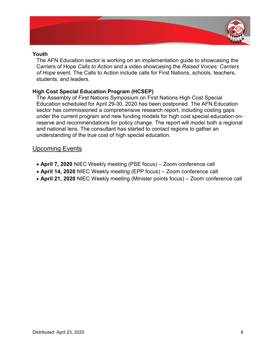

### **Youth**

The AFN Education sector is working on an implementation guide to showcasing the Carriers of Hope *Calls to Action* and a video showcasing the *Raised Voices: Carriers of Hope* event. The Calls to Action include calls for First Nations, schools, teachers, students, and leaders.

## **High Cost Special Education Program (HCSEP)**

The Assembly of First Nations Symposium on First Nations High Cost Special Education scheduled for April 29-30, 2020 has been postponed. The AFN Education sector has commissioned a comprehensive research report, including costing gaps under the current program and new funding models for high cost special education onreserve and recommendations for policy change. The report will model both a regional and national lens. The consultant has started to contact regions to gather an understanding of the true cost of high special education.

## Upcoming Events

- April 7, 2020 NIEC Weekly meeting (PSE focus) Zoom conference call
- **April 14, 2020** NIEC Weekly meeting (EPP focus) Zoom conference call
- **April 21, 2020** NIEC Weekly meeting (Minister points focus) Zoom conference call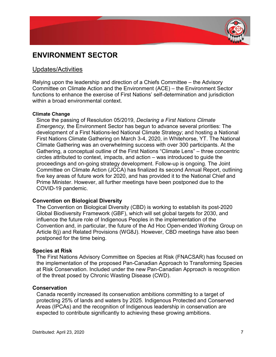

## **ENVIRONMENT SECTOR**

## Updates/Activities

Relying upon the leadership and direction of a Chiefs Committee  $-$  the Advisory Committee on Climate Action and the Environment (ACE) – the Environment Sector functions to enhance the exercise of First Nations' self-determination and jurisdiction within a broad environmental context.

### **Climate Change**

Since the passing of Resolution 05/2019, *Declaring a First Nations Climate Emergency,* the Environment Sector has begun to advance several priorities: The development of a First Nations-led National Climate Strategy; and hosting a National First Nations Climate Gathering on March 3-4, 2020, in Whitehorse, YT. The National Climate Gathering was an overwhelming success with over 300 participants. At the Gathering, a conceptual outline of the First Nations "Climate Lens" – three concentric circles attributed to context, impacts, and action  $-$  was introduced to quide the proceedings and on-going strategy development. Follow-up is ongoing. The Joint Committee on Climate Action (JCCA) has finalized its second Annual Report, outlining five key areas of future work for 2020, and has provided it to the National Chief and Prime Minister. However, all further meetings have been postponed due to the COVID-19 pandemic.

### **Convention on Biological Diversity**

The Convention on Biological Diversity (CBD) is working to establish its post-2020 Global Biodiversity Framework (GBF), which will set global targets for 2030, and influence the future role of Indigenous Peoples in the implementation of the Convention and, in particular, the future of the Ad Hoc Open-ended Working Group on Article 8(j) and Related Provisions (WG8J). However, CBD meetings have also been postponed for the time being.

### **Species at Risk**

The First Nations Advisory Committee on Species at Risk (FNACSAR) has focused on the implementation of the proposed Pan-Canadian Approach to Transforming Species at Risk Conservation. Included under the new Pan-Canadian Approach is recognition of the threat posed by Chronic Wasting Disease (CWD).

### **Conservation**

Canada recently increased its conservation ambitions committing to a target of protecting 25% of lands and waters by 2025. Indigenous Protected and Conserved Areas (IPCAs) and the recognition of Indigenous leadership in conservation are expected to contribute significantly to achieving these growing ambitions.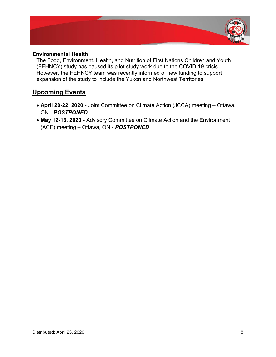

### **Environmental Health**

The Food, Environment, Health, and Nutrition of First Nations Children and Youth (FEHNCY) study has paused its pilot study work due to the COVID-19 crisis. However, the FEHNCY team was recently informed of new funding to support expansion of the study to include the Yukon and Northwest Territories.

## **Upcoming Events**

- April 20-22, 2020 Joint Committee on Climate Action (JCCA) meeting Ottawa, ON - *POSTPONED*
- May 12-13, 2020 Advisory Committee on Climate Action and the Environment (ACE) meeting - Ottawa, ON - **POSTPONED**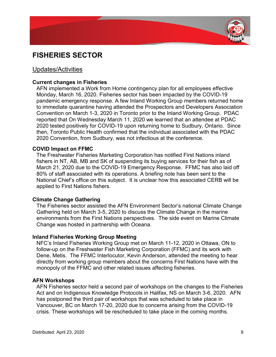

## **FISHERIES SECTOR**

## Updates/Activities

### **Current changes in Fisheries**

AFN implemented a Work from Home contingency plan for all employees effective Monday, March 16, 2020. Fisheries sector has been impacted by the COVID-19 pandemic emergency response. A few Inland Working Group members returned home to immediate quarantine having attended the Prospectors and Developers Association Convention on March 1-3, 2020 in Toronto prior to the Inland Working Group. PDAC reported that On Wednesday March 11, 2020 we learned that an attendee at PDAC 2020 tested positively for COVID-19 upon returning home to Sudbury, Ontario. Since then, Toronto Public Health confirmed that the individual associated with the PDAC 2020 Convention, from Sudbury, was not infectious at the conference.

### **COVID Impact on FFMC**

The Freshwater Fisheries Marketing Corporation has notified First Nations inland fishers in NT, AB, MB and SK of suspending its buying services for their fish as of March 21, 2020 due to the COVID-19 Emergency Response. FFMC has also laid off 80% of staff associated with its operations. A briefing note has been sent to the National Chief's office on this subject. It is unclear how this associated CERB will be applied to First Nations fishers.

### **Climate Change Gathering**

The Fisheries sector assisted the AFN Environment Sector's national Climate Change Gathering held on March 3-5, 2020 to discuss the Climate Change in the marine environments from the First Nations perspectives. The side event on Marine Climate Change was hosted in partnership with Oceana.

#### **Inland Fisheries Working Group Meeting**

NFC's Inland Fisheries Working Group met on March 11-12, 2020 in Ottawa, ON to follow-up on the Freshwater Fish Marketing Corporation (FFMC) and its work with Dene, Metis. The FFMC Interlocutor, Kevin Anderson, attended the meeting to hear directly from working group members about the concerns First Nations have with the monopoly of the FFMC and other related issues affecting fisheries.

## **AFN Workshops**

AFN Fisheries sector held a second pair of workshops on the changes to the Fisheries Act and on Indigenous Knowledge Protocols in Halifax, NS on March 3-6, 2020. AFN has postponed the third pair of workshops that was scheduled to take place in Vancouver, BC on March 17-20, 2020 due to concerns arising from the COVID-19 crisis. These workshops will be rescheduled to take place in the coming months.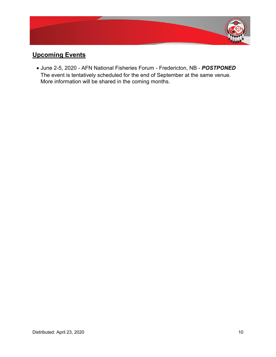

## **Upcoming Events**

x June 2-5, 2020 - AFN National Fisheries Forum - Fredericton, NB - *POSTPONED*  The event is tentatively scheduled for the end of September at the same venue. More information will be shared in the coming months.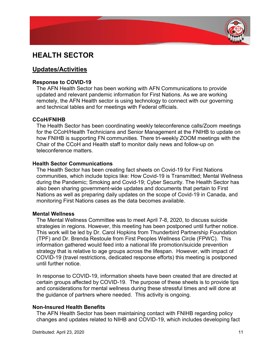

## **HEALTH SECTOR**

## **Updates/Activities**

## **Response to COVID-19**

The AFN Health Sector has been working with AFN Communications to provide updated and relevant pandemic information for First Nations. As we are working remotely, the AFN Health sector is using technology to connect with our governing and technical tables and for meetings with Federal officials.

## **CCoH/FNIHB**

The Health Sector has been coordinating weekly teleconference calls/Zoom meetings for the CCoH/Health Technicians and Senior Management at the FNIHB to update on how FNIHB is supporting FN communities. There tri-weekly ZOOM meetings with the Chair of the CCoH and Health staff to monitor daily news and follow-up on teleconference matters.

### **Health Sector Communications**

The Health Sector has been creating fact sheets on Covid-19 for First Nations communities, which include topics like: How Covid-19 is Transmitted; Mental Wellness during the Pandemic; Smoking and Covid-19; Cyber Security. The Health Sector has also been sharing government-wide updates and documents that pertain to First Nations as well as preparing daily updates on the scope of Covid-19 in Canada, and monitoring First Nations cases as the data becomes available.

### **Mental Wellness**

The Mental Wellness Committee was to meet April 7-8, 2020, to discuss suicide strategies in regions. However, this meeting has been postponed until further notice. This work will be led by Dr. Carol Hopkins from Thunderbird Partnership Foundation (TPF) and Dr. Brenda Restoule from First Peoples Wellness Circle (FPWC). This information gathered would feed into a national life promotion/suicide prevention strategy that is relative to age groups across the lifespan. However, with impact of COVID-19 (travel restrictions, dedicated response efforts) this meeting is postponed until further notice.

In response to COVID-19, information sheets have been created that are directed at certain groups affected by COVID-19. The purpose of these sheets is to provide tips and considerations for mental wellness during these stressful times and will done at the guidance of partners where needed. This activity is ongoing.

## **Non-Insured Health Benefits**

The AFN Health Sector has been maintaining contact with FNIHB regarding policy changes and updates related to NIHB and COVID-19, which includes developing fact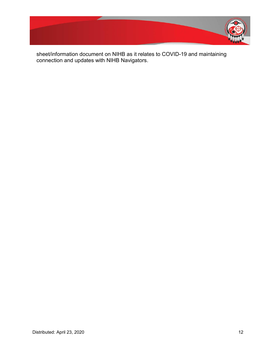

sheet/information document on NIHB as it relates to COVID-19 and maintaining connection and updates with NIHB Navigators.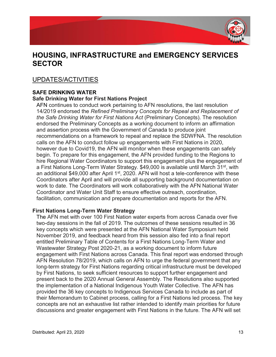

## **HOUSING, INFRASTRUCTURE and EMERGENCY SERVICES SECTOR**

## UPDATES/ACTIVITIES

## **SAFE DRINKING WATER**

## **Safe Drinking Water for First Nations Project**

AFN continues to conduct work pertaining to AFN resolutions, the last resolution 14/2019 endorsed the *Refined Preliminary Concepts for Repeal and Replacement of the Safe Drinking Water for First Nations Act* (Preliminary Concepts). The resolution endorsed the Preliminary Concepts as a working document to inform an affirmation and assertion process with the Government of Canada to produce joint recommendations on a framework to repeal and replace the SDWFNA. The resolution calls on the AFN to conduct follow up engagements with First Nations in 2020, however due to Covid19, the AFN will monitor when these engagements can safely begin. To prepare for this engagement, the AFN provided funding to the Regions to hire Regional Water Coordinators to support this engagement plus the engagement of a First Nations Long-Term Water Strategy. \$49,000 is available until March 31<sup>st</sup>, with an additional \$49,000 after April 1<sup>st</sup>, 2020. AFN will host a tele-conference with these Coordinators after April and will provide all supporting background documentation on work to date. The Coordinators will work collaboratively with the AFN National Water Coordinator and Water Unit Staff to ensure effective outreach, coordination, facilitation, communication and prepare documentation and reports for the AFN.

## **First Nations Long-Term Water Strategy**

The AFN met with over 100 First Nation water experts from across Canada over five two-day sessions in the fall of 2019. The outcomes of these sessions resulted in 36 key concepts which were presented at the AFN National Water Symposium held November 2019, and feedback heard from this session also fed into a final report entitled Preliminary Table of Contents for a First Nations Long-Term Water and Wastewater Strategy Post 2020-21, as a working document to inform future engagement with First Nations across Canada. This final report was endorsed through AFN Resolution 78/2019, which calls on AFN to urge the federal government that any long-term strategy for First Nations regarding critical infrastructure must be developed by First Nations, to seek sufficient resources to support further engagement and present back to the 2020 Annual General Assembly. The Resolutions also supported the implementation of a National Indigenous Youth Water Collective. The AFN has provided the 36 key concepts to Indigenous Services Canada to include as part of their Memorandum to Cabinet process, calling for a First Nations led process. The key concepts are not an exhaustive list rather intended to identify main priorities for future discussions and greater engagement with First Nations in the future. The AFN will set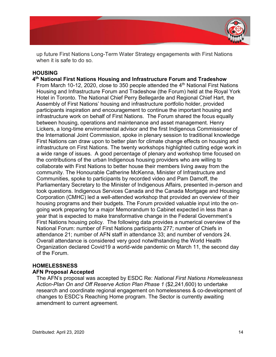

up future First Nations Long-Term Water Strategy engagements with First Nations when it is safe to do so.

## **HOUSING**

**4th National First Nations Housing and Infrastructure Forum and Tradeshow** From March 10-12, 2020, close to 350 people attended the  $4<sup>th</sup>$  National First Nations Housing and Infrastructure Forum and Tradeshow (the Forum) held at the Royal York Hotel in Toronto. The National Chief Perry Bellegarde and Regional Chief Hart, the Assembly of First Nations' housing and infrastructure portfolio holder, provided participants inspiration and encouragement to continue the important housing and infrastructure work on behalf of First Nations. The Forum shared the focus equally between housing, operations and maintenance and asset management. Henry Lickers, a long-time environmental advisor and the first Indigenous Commissioner of the International Joint Commission, spoke in plenary session to traditional knowledge First Nations can draw upon to better plan for climate change effects on housing and infrastructure on First Nations. The twenty workshops highlighted cutting edge work in a wide range of issues. A good percentage of plenary and workshop time focused on the contributions of the urban Indigenous housing providers who are willing to collaborate with First Nations to better house their members living away from the community. The Honourable Catherine McKenna, Minister of Infrastructure and Communities, spoke to participants by recorded video and Pam Damoff, the Parliamentary Secretary to the Minister of Indigenous Affairs, presented in-person and took questions. Indigenous Services Canada and the Canada Mortgage and Housing Corporation (CMHC) led a well-attended workshop that provided an overview of their housing programs and their budgets. The Forum provided valuable input into the ongoing work preparing for a major Memorandum to Cabinet expected in less than a year that is expected to make transformative change in the Federal Government's First Nations housing policy. The following data provides a numerical overview of the National Forum: number of First Nations participants 277; number of Chiefs in attendance 21; number of AFN staff in attendance 33; and number of vendors 24. Overall attendance is considered very good notwithstanding the World Health Organization declared Covid19 a world-wide pandemic on March 11, the second day of the Forum.

## **HOMELESSNESS**

## **AFN Proposal Accepted**

The AFN¶V proposal was accepted by ESDC Re: *National First Nations Homelessness Action-Plan On and Off Reserve Action Plan Phase 1* (\$2,241,600) to undertake research and coordinate regional engagement on homelessness & co-development of changes to ESDC's Reaching Home program. The Sector is currently awaiting amendment to current agreement.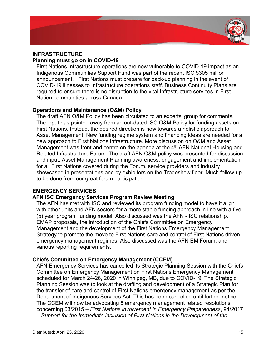

## **INFRASTRUCTURE**

### **Planning must go on in COVID-19**

First Nations Infrastructure operations are now vulnerable to COVID-19 impact as an Indigenous Communities Support Fund was part of the recent ISC \$305 million announcement. First Nations must prepare for back-up planning in the event of COVID-19 illnesses to Infrastructure operations staff. Business Continuity Plans are required to ensure there is no disruption to the vital Infrastructure services in First Nation communities across Canada.

## **Operations and Maintenance (O&M) Policy**

The draft AFN O&M Policy has been circulated to an experts' group for comments. The input has pointed away from an out-dated ISC O&M Policy for funding assets on First Nations. Instead, the desired direction is now towards a holistic approach to Asset Management. New funding regime system and financing ideas are needed for a new approach to First Nations Infrastructure. More discussion on O&M and Asset Management was front and centre on the agenda at the  $4<sup>th</sup>$  AFN National Housing and Related Infrastructure Forum. The draft AFN O&M policy was presented for discussion and input. Asset Management Planning awareness, engagement and implementation for all First Nations covered during the Forum, service providers and industry showcased in presentations and by exhibitors on the Tradeshow floor. Much follow-up to be done from our great forum participation.

### **EMERGENCY SERVICES**

### **AFN ISC Emergency Services Program Review Meeting**

The AFN has met with ISC and reviewed its program funding model to have it align with other units and AFN sectors for a more stable funding approach in line with a five (5) year program funding model. Also discussed was the AFN - ISC relationship, EMAP proposals, the introduction of the Chiefs Committee on Emergency Management and the development of the First Nations Emergency Management Strategy to promote the move to First Nations care and control of First Nations driven emergency management regimes. Also discussed was the AFN EM Forum, and various reporting requirements.

### **Chiefs Committee on Emergency Management (CCEM)**

AFN Emergency Services has cancelled its Strategic Planning Session with the Chiefs Committee on Emergency Management on First Nations Emergency Management scheduled for March 24-26, 2020 in Winnipeg, MB, due to COVID-19. The Strategic Planning Session was to look at the drafting and development of a Strategic Plan for the transfer of care and control of First Nations emergency management as per the Department of Indigenous Services Act. This has been cancelled until further notice. The CCEM will now be advocating 5 emergency management related resolutions concerning 03/2015 ± *First Nations involvement in Emergency Preparedness*, 94/2017 ± *Support for the Immediate inclusion of First Nations in the Development of the*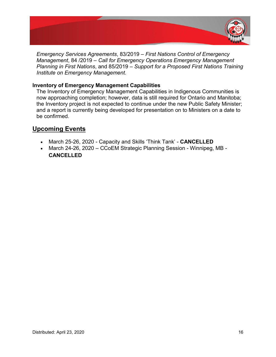

*Emergency Services Agreements, 83/2019 – First Nations Control of Emergency Management, 84 /2019 – Call for Emergency Operations Emergency Management Planning in First Nations*, and 85/2019 – *Support for a Proposed First Nations Training Institute on Emergency Management.*

## **Inventory of Emergency Management Capabilities**

The Inventory of Emergency Management Capabilities in Indigenous Communities is now approaching completion; however, data is still required for Ontario and Manitoba; the Inventory project is not expected to continue under the new Public Safety Minister; and a report is currently being developed for presentation on to Ministers on a date to be confirmed.

## **Upcoming Events**

- **March 25-26, 2020 Capacity and Skills 'Think Tank' CANCELLED**
- March 24-26, 2020 CCoEM Strategic Planning Session Winnipeg, MB -**CANCELLED**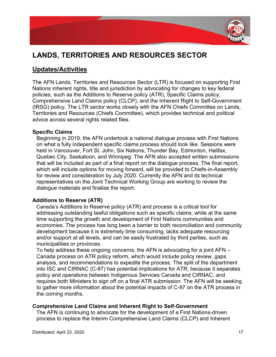

# **LANDS, TERRITORIES AND RESOURCES SECTOR**

## **Updates/Activities**

The AFN Lands, Territories and Resources Sector (LTR) is focused on supporting First Nations inherent rights, title and jurisdiction by advocating for changes to key federal policies, such as the Additions to Reserve policy (ATR), Specific Claims policy, Comprehensive Land Claims policy (CLCP), and the Inherent Right to Self-Government (IRSG) policy. The LTR sector works closely with the AFN Chiefs Committee on Lands, Territories and Resources (Chiefs Committee), which provides technical and political advice across several rights related files.

## **Specific Claims**

Beginning in 2019, the AFN undertook a national dialogue process with First Nations on what a fully independent specific claims process should look like. Sessions were held in Vancouver, Fort St. John, Six Nations, Thunder Bay, Edmonton, Halifax, Quebec City, Saskatoon, and Winnipeg. The AFN also accepted written submissions that will be included as part of a final report on the dialogue process. The final report, which will include options for moving forward, will be provided to Chiefs-in-Assembly for review and consideration by July 2020. Currently the AFN and its technical representatives on the Joint Technical Working Group are working to review the dialogue materials and finalize the report.

## **Additions to Reserve (ATR)**

Canada's Additions to Reserve policy (ATR) and process is a critical tool for addressing outstanding lawful obligations such as specific claims, while at the same time supporting the growth and development of First Nations communities and economies. The process has long been a barrier to both reconciliation and community development because it is extremely time consuming, lacks adequate resourcing and/or support at all levels, and can be easily frustrated by third parties, such as municipalities or provinces.

To help address these ongoing concerns, the AFN is advocating for a joint AFN  $-$ Canada process on ATR policy reform, which would include policy review, gaps analysis, and recommendations to expedite the process. The split of the department into ISC and CIRNAC (C-97) has potential implications for ATR, because it separates policy and operations between Indigenous Services Canada and CIRNAC, and requires both Ministers to sign off on a final ATR submission. The AFN will be seeking to gather more information about the potential impacts of C-97 on the ATR process in the coming months.

## **Comprehensive Land Claims and Inherent Right to Self-Government**

The AFN is continuing to advocate for the development of a First Nations-driven process to replace the Interim Comprehensive Land Claims (CLCP) and Inherent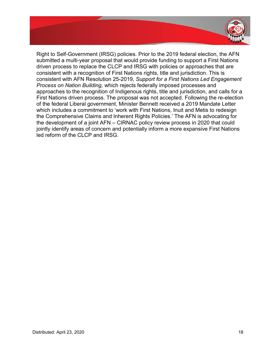

Right to Self-Government (IRSG) policies. Prior to the 2019 federal election, the AFN submitted a multi-year proposal that would provide funding to support a First Nations driven process to replace the CLCP and IRSG with policies or approaches that are consistent with a recognition of First Nations rights, title and jurisdiction. This is consistent with AFN Resolution 25-2019, *Support for a First Nations Led Engagement Process on Nation Building,* which rejects federally imposed processes and approaches to the recognition of Indigenous rights, title and jurisdiction, and calls for a First Nations driven process. The proposal was not accepted. Following the re-election of the federal Liberal government, Minister Bennett received a 2019 Mandate Letter which includes a commitment to 'work with First Nations, Inuit and Metis to redesign the Comprehensive Claims and Inherent Rights Policies.' The AFN is advocating for the development of a joint  $AFN - CIRNAC$  policy review process in 2020 that could jointly identify areas of concern and potentially inform a more expansive First Nations led reform of the CLCP and IRSG.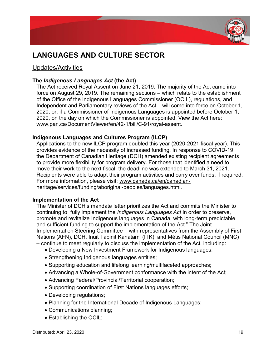

# **LANGUAGES AND CULTURE SECTOR**

## Updates/Activities

## **The** *Indigenous Languages Act* **(the Act)**

The Act received Royal Assent on June 21, 2019. The majority of the Act came into force on August 29, 2019. The remaining sections  $-$  which relate to the establishment of the Office of the Indigenous Languages Commissioner (OCIL), regulations, and Independent and Parliamentary reviews of the  $Act -$  will come into force on October 1, 2020, or, if a Commissioner of Indigenous Languages is appointed before October 1, 2020, on the day on which the Commissioner is appointed. View the Act here: www.parl.ca/DocumentViewer/en/42-1/bill/C-91/royal-assent.

## **Indigenous Languages and Cultures Program (ILCP)**

Applications to the new ILCP program doubled this year (2020-2021 fiscal year). This provides evidence of the necessity of increased funding. In response to COVID-19, the Department of Canadian Heritage (DCH) amended existing recipient agreements to provide more flexibility for program delivery. For those that identified a need to move their work to the next fiscal, the deadline was extended to March 31, 2021. Recipients were able to adapt their program activities and carry over funds, if required. For more information, please visit: www.canada.ca/en/canadianheritage/services/funding/aboriginal-peoples/languages.html.

### **Implementation of the Act**

The Minister of DCH's mandate letter prioritizes the Act and commits the Minister to continuing to "fully implement the *Indigenous Languages Act* in order to preserve, promote and revitalize Indigenous languages in Canada, with long-term predictable and sufficient funding to support the implementation of the Act." The Joint Implementation Steering Committee – with representatives from the Assembly of First Nations (AFN), DCH, Inuit Tapiriit Kanatami (ITK), and Métis National Council (MNC)  $-$  continue to meet regularly to discuss the implementation of the Act, including:

- Developing a New Investment Framework for Indigenous languages;
- Strengthening Indigenous languages entities;
- Supporting education and lifelong learning/multifaceted approaches;
- Advancing a Whole-of-Government conformance with the intent of the Act;
- Advancing Federal/Provincial/Territorial cooperation;
- Supporting coordination of First Nations languages efforts;
- Developing regulations;
- Planning for the International Decade of Indigenous Languages;
- Communications planning;
- $\bullet$  Establishing the OCIL;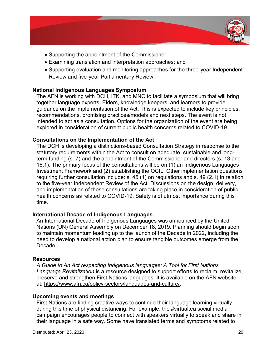

- Supporting the appointment of the Commissioner;
- Examining translation and interpretation approaches; and
- Supporting evaluation and monitoring approaches for the three-year Independent Review and five-year Parliamentary Review.

## **National Indigenous Languages Symposium**

The AFN is working with DCH, ITK, and MNC to facilitate a symposium that will bring together language experts, Elders, knowledge keepers, and learners to provide guidance on the implementation of the Act. This is expected to include key principles, recommendations, promising practices/models and next steps. The event is not intended to act as a consultation. Options for the organization of the event are being explored in consideration of current public health concerns related to COVID-19.

## **Consultations on the Implementation of the Act**

The DCH is developing a distinctions-based Consultation Strategy in response to the statutory requirements within the Act to consult on adequate, sustainable and longterm funding (s. 7) and the appointment of the Commissioner and directors (s. 13 and 16.1). The primary focus of the consultations will be on (1) an Indigenous Languages Investment Framework and (2) establishing the OCIL. Other implementation questions requiring further consultation include: s. 45 (1) on regulations and s. 49 (2.1) in relation to the five-year Independent Review of the Act. Discussions on the design, delivery, and implementation of these consultations are taking place in consideration of public health concerns as related to COVID-19. Safety is of utmost importance during this time.

## **International Decade of Indigenous Languages**

An International Decade of Indigenous Languages was announced by the United Nations (UN) General Assembly on December 18, 2019. Planning should begin soon to maintain momentum leading up to the launch of the Decade in 2022, including the need to develop a national action plan to ensure tangible outcomes emerge from the Decade.

## **Resources**

*A Guide to An Act respecting Indigenous languages: A Tool for First Nations Language Revitalization* is a resource designed to support efforts to reclaim, revitalize, preserve and strengthen First Nations languages. It is available on the AFN website at: https://www.afn.ca/policy-sectors/languages-and-culture/.

## **Upcoming events and meetings**

First Nations are finding creative ways to continue their language learning virtually during this time of physical distancing. For example, the #virtualtea social media campaign encourages people to connect with speakers virtually to speak and share in their language in a safe way. Some have translated terms and symptoms related to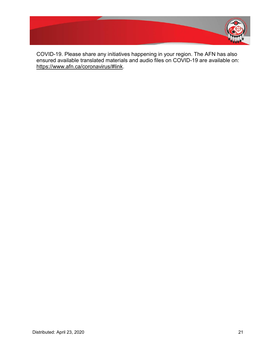

COVID-19. Please share any initiatives happening in your region. The AFN has also ensured available translated materials and audio files on COVID-19 are available on: https://www.afn.ca/coronavirus/#link.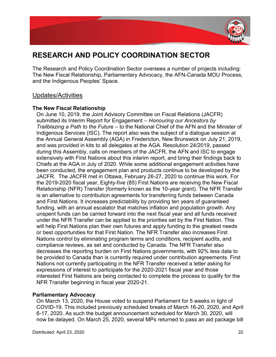

# **RESEARCH AND POLICY COORDINATION SECTOR**

The Research and Policy Coordination Sector oversees a number of projects including: The New Fiscal Relationship, Parliamentary Advocacy, the AFN-Canada MOU Process, and the Indigenous Peoples' Space.

## Updates/Activities

## **The New Fiscal Relationship**

On June 10, 2019, the Joint Advisory Committee on Fiscal Relations (JACFR) submitted its Interim Report for Engagement – *Honouring our Ancestors by Trailblazing a Path to the Future* – to the National Chief of the AFN and the Minister of Indigenous Services (ISC). The report also was the subject of a dialogue session at the Annual General Assembly (AGA) in Fredericton, New Brunswick on July 21, 2019, and was provided in kits to all delegates at the AGA. Resolution 24/2019, passed during this Assembly, calls on members of the JACFR, the AFN and ISC to engage extensively with First Nations about this interim report, and bring their findings back to Chiefs at the AGA in July of 2020. While some additional engagement activities have been conducted, the engagement plan and products continue to be developed by the JACFR. The JACFR met in Ottawa, February 26-27, 2020 to continue this work. For the 2019-2020 fiscal year, Eighty-five (85) First Nations are receiving the New Fiscal Relationship (NFR) Transfer (formerly known as the 10-year grant). The NFR Transfer is an alternative to contribution agreements for transferring funds between Canada and First Nations. It increases predictability by providing ten years of guaranteed funding, with an annual escalator that matches inflation and population growth. Any unspent funds can be carried forward into the next fiscal year and all funds received under the NFR Transfer can be applied to the priorities set by the First Nation. This will help First Nations plan their own futures and apply funding to the greatest needs or best opportunities for that First Nation. The NFR Transfer also increases First Nations control by eliminating program terms and conditions, recipient audits, and compliance reviews, as set and conducted by Canada. The NFR Transfer also decreases the reporting burden on First Nations governments, with 92% less data to be provided to Canada than is currently required under contribution agreements. First Nations not currently participating in the NFR Transfer received a letter asking for expressions of interest to participate for the 2020-2021 fiscal year and those interested First Nations are being contacted to complete the process to qualify for the NFR Transfer beginning in fiscal year 2020-21.

## **Parliamentary Advocacy**

On March 13, 2020, the House voted to suspend Parliament for 5 weeks in light of COVID-19. This included previously scheduled breaks of March 16-20, 2020, and April 6-17, 2020. As such the budget announcement scheduled for March 30, 2020, will now be delayed. On March 25, 2020, several MPs returned to pass an aid package bill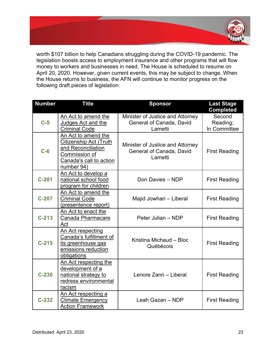

worth \$107 billion to help Canadians struggling during the COVID-19 pandemic. The legislation boosts access to employment insurance and other programs that will flow money to workers and businesses in need. The House is scheduled to resume on April 20, 2020. However, given current events, this may be subject to change. When the House returns to business, the AFN will continue to monitor progress on the following draft pieces of legislation:

| <b>Number</b> | <b>Title</b>                                                                                                                  | <b>Sponsor</b>                                                          | <b>Last Stage</b><br><b>Completed</b> |
|---------------|-------------------------------------------------------------------------------------------------------------------------------|-------------------------------------------------------------------------|---------------------------------------|
| $C-5$         | An Act to amend the<br>Judges Act and the<br><b>Criminal Code</b>                                                             | Minister of Justice and Attorney<br>General of Canada, David<br>Lametti | Second<br>Reading;<br>In Committee    |
| $C-6$         | An Act to amend the<br>Citizenship Act (Truth<br>and Reconciliation<br>Commission of<br>Canada's call to action<br>number 94) | Minister of Justice and Attorney<br>General of Canada, David<br>Lametti | <b>First Reading</b>                  |
| $C-201$       | An Act to develop a<br>national school food<br>program for children                                                           | Don Davies - NDP                                                        | <b>First Reading</b>                  |
| $C-207$       | An Act to amend the<br><b>Criminal Code</b><br>(presentence report)                                                           | Majid Jowhari - Liberal                                                 | <b>First Reading</b>                  |
| $C-213$       | An Act to enact the<br>Canada Pharmacare<br>Act                                                                               | Peter Julian - NDP                                                      | <b>First Reading</b>                  |
| $C-215$       | An Act respecting<br>Canada's fulfillment of<br>its greenhouse gas<br>emissions reduction<br>obligations                      | Kristina Michaud - Bloc<br>Québécois                                    | <b>First Reading</b>                  |
| $C-230$       | An Act respecting the<br>development of a<br>national strategy to<br>redress environmental<br>racism                          | Lenore Zann - Liberal                                                   | <b>First Reading</b>                  |
| $C-232$       | An Act respecting a<br><b>Climate Emergency</b><br><b>Action Framework</b>                                                    | Leah Gazan - NDP                                                        | <b>First Reading</b>                  |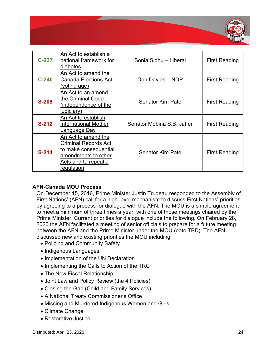

| $C-237$ | An Act to establish a<br>national framework for<br>diabetes                                                                        | Sonia Sidhu - Liberal      | <b>First Reading</b> |
|---------|------------------------------------------------------------------------------------------------------------------------------------|----------------------------|----------------------|
| $C-240$ | An Act to amend the<br><b>Canada Elections Act</b><br>(voting age)                                                                 | Don Davies - NDP           | <b>First Reading</b> |
| $S-208$ | An Act to an amend<br>the Criminal Code<br>(independence of the<br>judiciary)                                                      | Senator Kim Pate           | First Reading        |
| $S-212$ | An Act to establish<br><b>International Mother</b><br><u>Language Day</u>                                                          | Senator Mobina S.B. Jaffer | <b>First Reading</b> |
| $S-214$ | An Act to amend the<br>Criminal Records Act,<br>to make consequential<br>amendments to other<br>Acts and to repeal a<br>regulation | <b>Senator Kim Pate</b>    | <b>First Reading</b> |

## **AFN-Canada MOU Process**

On December 15, 2016, Prime Minister Justin Trudeau responded to the Assembly of First Nations' (AFN) call for a high-level mechanism to discuss First Nations' priorities by agreeing to a process for dialogue with the AFN. The MOU is a simple agreement to meet a minimum of three times a year, with one of those meetings chaired by the Prime Minister. Current priorities for dialogue include the following. On February 28, 2020 the AFN facilitated a meeting of senior officials to prepare for a future meeting between the AFN and the Prime Minister under the MOU (date TBD). The AFN discussed new and existing priorities the MOU including:

- Policing and Community Safety
- Indigenous Languages
- Implementation of the UN Declaration
- Implementing the Calls to Action of the TRC
- The New Fiscal Relationship
- Joint Law and Policy Review (the 4 Policies)
- Closing the Gap (Child and Family Services)
- A National Treaty Commissioner's Office
- Missing and Murdered Indigenous Women and Girls
- Climate Change
- Restorative Justice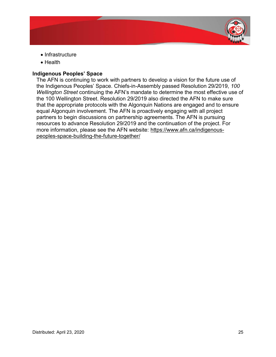

- $\bullet$  Infrastructure
- Health

## **Indigenous Peoples' Space**

The AFN is continuing to work with partners to develop a vision for the future use of the Indigenous Peoples' Space. Chiefs-in-Assembly passed Resolution 29/2019, 100 *Wellington Street* continuing the AFN's mandate to determine the most effective use of the 100 Wellington Street. Resolution 29/2019 also directed the AFN to make sure that the appropriate protocols with the Algonquin Nations are engaged and to ensure equal Algonquin involvement. The AFN is proactively engaging with all project partners to begin discussions on partnership agreements. The AFN is pursuing resources to advance Resolution 29/2019 and the continuation of the project. For more information, please see the AFN website: https://www.afn.ca/indigenouspeoples-space-building-the-future-together/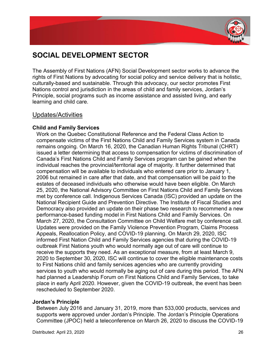

# **SOCIAL DEVELOPMENT SECTOR**

The Assembly of First Nations (AFN) Social Development sector works to advance the rights of First Nations by advocating for social policy and service delivery that is holistic, culturally-based and sustainable. Through this advocacy, our sector promotes First Nations control and jurisdiction in the areas of child and family services, Jordan's Principle, social programs such as income assistance and assisted living, and early learning and child care.

## Updates/Activities

## **Child and Family Services**

Work on the Quebec Constitutional Reference and the Federal Class Action to compensate victims of the First Nations Child and Family Services system in Canada remains ongoing. On March 16, 2020, the Canadian Human Rights Tribunal (CHRT) issued a letter determining that access to compensation for victims of discrimination of Canada's First Nations Child and Family Services program can be gained when the individual reaches the provincial/territorial age of majority. It further determined that compensation will be available to individuals who entered care prior to January 1, 2006 but remained in care after that date, and that compensation will be paid to the estates of deceased individuals who otherwise would have been eligible. On March 25, 2020, the National Advisory Committee on First Nations Child and Family Services met by conference call. Indigenous Services Canada (ISC) provided an update on the National Recipient Guide and Prevention Directive. The Institute of Fiscal Studies and Democracy also provided an update on their phase two research to recommend a new performance-based funding model in First Nations Child and Family Services. On March 27, 2020, the Consultation Committee on Child Welfare met by conference call. Updates were provided on the Family Violence Prevention Program, Claims Process Appeals, Reallocation Policy, and COVID-19 planning. On March 29, 2020, ISC informed First Nation Child and Family Services agencies that during the COVID-19 outbreak First Nations youth who would normally age out of care will continue to receive the supports they need. As an exceptional measure, from at least March 9, 2020 to September 30, 2020, ISC will continue to cover the eligible maintenance costs to First Nations child and family services agencies who are currently providing services to youth who would normally be aging out of care during this period. The AFN had planned a Leadership Forum on First Nations Child and Family Services, to take place in early April 2020. However, given the COVID-19 outbreak, the event has been rescheduled to September 2020.

## **Jordan's Principle**

Between July 2016 and January 31, 2019, more than 533,000 products, services and supports were approved under Jordan's Principle. The Jordan's Principle Operations Committee (JPOC) held a teleconference on March 26, 2020 to discuss the COVID-19